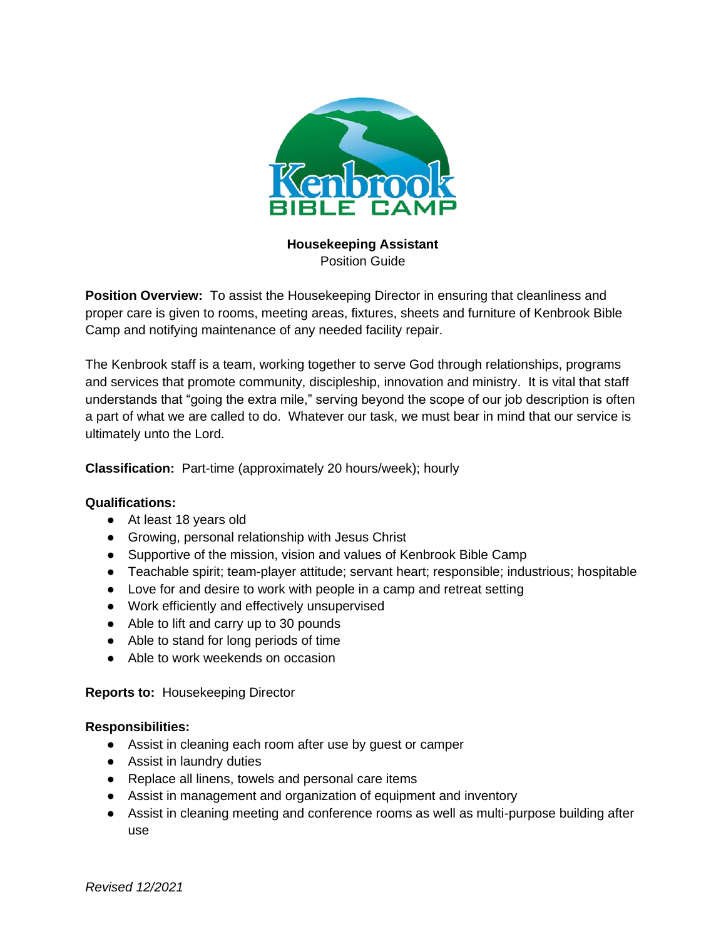

**Housekeeping Assistant** Position Guide

**Position Overview:** To assist the Housekeeping Director in ensuring that cleanliness and proper care is given to rooms, meeting areas, fixtures, sheets and furniture of Kenbrook Bible Camp and notifying maintenance of any needed facility repair.

The Kenbrook staff is a team, working together to serve God through relationships, programs and services that promote community, discipleship, innovation and ministry. It is vital that staff understands that "going the extra mile," serving beyond the scope of our job description is often a part of what we are called to do. Whatever our task, we must bear in mind that our service is ultimately unto the Lord.

**Classification:** Part-time (approximately 20 hours/week); hourly

## **Qualifications:**

- At least 18 years old
- Growing, personal relationship with Jesus Christ
- Supportive of the mission, vision and values of Kenbrook Bible Camp
- Teachable spirit; team-player attitude; servant heart; responsible; industrious; hospitable
- Love for and desire to work with people in a camp and retreat setting
- Work efficiently and effectively unsupervised
- Able to lift and carry up to 30 pounds
- Able to stand for long periods of time
- Able to work weekends on occasion

**Reports to:** Housekeeping Director

## **Responsibilities:**

- Assist in cleaning each room after use by guest or camper
- Assist in laundry duties
- Replace all linens, towels and personal care items
- Assist in management and organization of equipment and inventory
- Assist in cleaning meeting and conference rooms as well as multi-purpose building after use